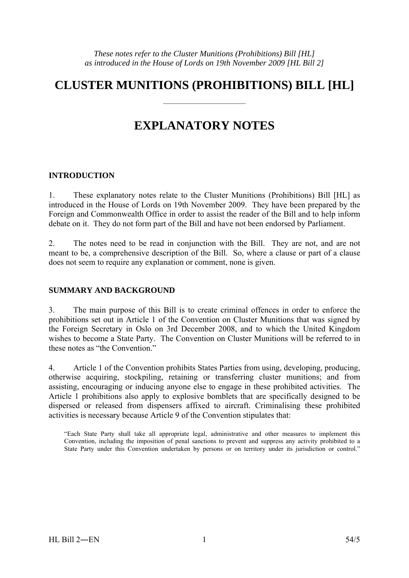# **CLUSTER MUNITIONS (PROHIBITIONS) BILL [HL]**

——————————

# **EXPLANATORY NOTES**

# **INTRODUCTION**

1. These explanatory notes relate to the Cluster Munitions (Prohibitions) Bill [HL] as introduced in the House of Lords on 19th November 2009. They have been prepared by the Foreign and Commonwealth Office in order to assist the reader of the Bill and to help inform debate on it. They do not form part of the Bill and have not been endorsed by Parliament.

2. The notes need to be read in conjunction with the Bill. They are not, and are not meant to be, a comprehensive description of the Bill. So, where a clause or part of a clause does not seem to require any explanation or comment, none is given.

# **SUMMARY AND BACKGROUND**

3. The main purpose of this Bill is to create criminal offences in order to enforce the prohibitions set out in Article 1 of the Convention on Cluster Munitions that was signed by the Foreign Secretary in Oslo on 3rd December 2008, and to which the United Kingdom wishes to become a State Party. The Convention on Cluster Munitions will be referred to in these notes as "the Convention"

4. Article 1 of the Convention prohibits States Parties from using, developing, producing, otherwise acquiring, stockpiling, retaining or transferring cluster munitions; and from assisting, encouraging or inducing anyone else to engage in these prohibited activities. The Article 1 prohibitions also apply to explosive bomblets that are specifically designed to be dispersed or released from dispensers affixed to aircraft. Criminalising these prohibited activities is necessary because Article 9 of the Convention stipulates that:

"Each State Party shall take all appropriate legal, administrative and other measures to implement this Convention, including the imposition of penal sanctions to prevent and suppress any activity prohibited to a State Party under this Convention undertaken by persons or on territory under its jurisdiction or control."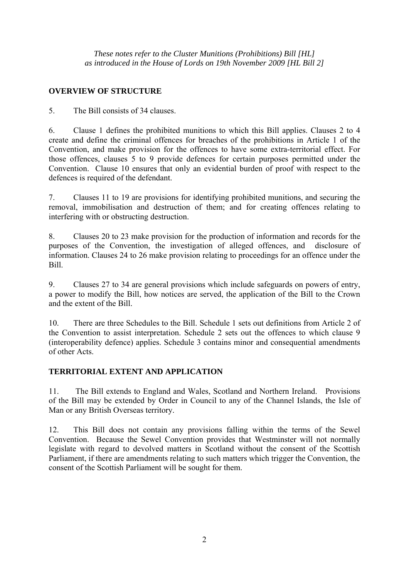# **OVERVIEW OF STRUCTURE**

5. The Bill consists of 34 clauses.

6. Clause 1 defines the prohibited munitions to which this Bill applies. Clauses 2 to 4 create and define the criminal offences for breaches of the prohibitions in Article 1 of the Convention, and make provision for the offences to have some extra-territorial effect. For those offences, clauses 5 to 9 provide defences for certain purposes permitted under the Convention. Clause 10 ensures that only an evidential burden of proof with respect to the defences is required of the defendant.

7. Clauses 11 to 19 are provisions for identifying prohibited munitions, and securing the removal, immobilisation and destruction of them; and for creating offences relating to interfering with or obstructing destruction.

8. Clauses 20 to 23 make provision for the production of information and records for the purposes of the Convention, the investigation of alleged offences, and disclosure of information. Clauses 24 to 26 make provision relating to proceedings for an offence under the Bill.

9. Clauses 27 to 34 are general provisions which include safeguards on powers of entry, a power to modify the Bill, how notices are served, the application of the Bill to the Crown and the extent of the Bill.

10. There are three Schedules to the Bill. Schedule 1 sets out definitions from Article 2 of the Convention to assist interpretation. Schedule 2 sets out the offences to which clause 9 (interoperability defence) applies. Schedule 3 contains minor and consequential amendments of other Acts.

# **TERRITORIAL EXTENT AND APPLICATION**

11. The Bill extends to England and Wales, Scotland and Northern Ireland. Provisions of the Bill may be extended by Order in Council to any of the Channel Islands, the Isle of Man or any British Overseas territory.

12. This Bill does not contain any provisions falling within the terms of the Sewel Convention. Because the Sewel Convention provides that Westminster will not normally legislate with regard to devolved matters in Scotland without the consent of the Scottish Parliament, if there are amendments relating to such matters which trigger the Convention, the consent of the Scottish Parliament will be sought for them.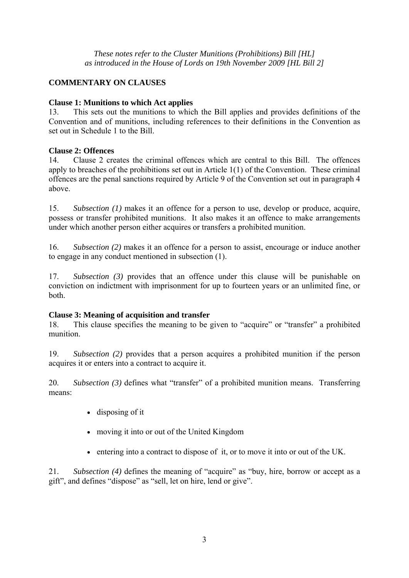# **COMMENTARY ON CLAUSES**

# **Clause 1: Munitions to which Act applies**

13. This sets out the munitions to which the Bill applies and provides definitions of the Convention and of munitions, including references to their definitions in the Convention as set out in Schedule 1 to the Bill.

# **Clause 2: Offences**

14. Clause 2 creates the criminal offences which are central to this Bill. The offences apply to breaches of the prohibitions set out in Article 1(1) of the Convention. These criminal offences are the penal sanctions required by Article 9 of the Convention set out in paragraph 4 above.

15. *Subsection (1)* makes it an offence for a person to use, develop or produce, acquire, possess or transfer prohibited munitions. It also makes it an offence to make arrangements under which another person either acquires or transfers a prohibited munition.

16. *Subsection (2)* makes it an offence for a person to assist, encourage or induce another to engage in any conduct mentioned in subsection (1).

17. *Subsection (3)* provides that an offence under this clause will be punishable on conviction on indictment with imprisonment for up to fourteen years or an unlimited fine, or both.

# **Clause 3: Meaning of acquisition and transfer**

18. This clause specifies the meaning to be given to "acquire" or "transfer" a prohibited munition.

19. *Subsection (2)* provides that a person acquires a prohibited munition if the person acquires it or enters into a contract to acquire it.

20. *Subsection (3)* defines what "transfer" of a prohibited munition means. Transferring means:

- disposing of it
- moving it into or out of the United Kingdom
- entering into a contract to dispose of it, or to move it into or out of the UK.

21. *Subsection (4)* defines the meaning of "acquire" as "buy, hire, borrow or accept as a gift", and defines "dispose" as "sell, let on hire, lend or give".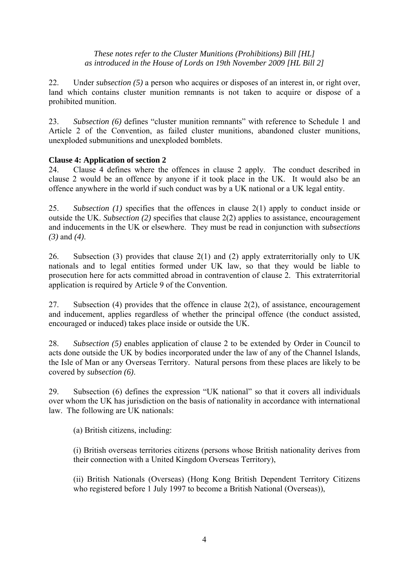22. Under *subsection (5)* a person who acquires or disposes of an interest in, or right over, land which contains cluster munition remnants is not taken to acquire or dispose of a prohibited munition.

23. *Subsection (6)* defines "cluster munition remnants" with reference to Schedule 1 and Article 2 of the Convention, as failed cluster munitions, abandoned cluster munitions, unexploded submunitions and unexploded bomblets.

# **Clause 4: Application of section 2**

24. Clause 4 defines where the offences in clause 2 apply. The conduct described in clause 2 would be an offence by anyone if it took place in the UK. It would also be an offence anywhere in the world if such conduct was by a UK national or a UK legal entity.

25. *Subsection (1)* specifies that the offences in clause 2(1) apply to conduct inside or outside the UK. *Subsection (2)* specifies that clause 2(2) applies to assistance, encouragement and inducements in the UK or elsewhere. They must be read in conjunction with *subsections (3)* and *(4)*.

26. Subsection (3) provides that clause 2(1) and (2) apply extraterritorially only to UK nationals and to legal entities formed under UK law, so that they would be liable to prosecution here for acts committed abroad in contravention of clause 2. This extraterritorial application is required by Article 9 of the Convention.

27. Subsection (4) provides that the offence in clause 2(2), of assistance, encouragement and inducement, applies regardless of whether the principal offence (the conduct assisted, encouraged or induced) takes place inside or outside the UK.

28. *Subsection (5)* enables application of clause 2 to be extended by Order in Council to acts done outside the UK by bodies incorporated under the law of any of the Channel Islands, the Isle of Man or any Overseas Territory. Natural persons from these places are likely to be covered by *subsection (6)*.

29. Subsection (6) defines the expression "UK national" so that it covers all individuals over whom the UK has jurisdiction on the basis of nationality in accordance with international law. The following are UK nationals:

(a) British citizens, including:

(i) British overseas territories citizens (persons whose British nationality derives from their connection with a United Kingdom Overseas Territory),

(ii) British Nationals (Overseas) (Hong Kong British Dependent Territory Citizens who registered before 1 July 1997 to become a British National (Overseas)),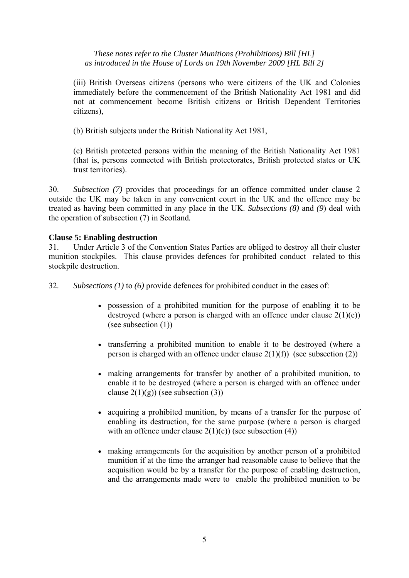(iii) British Overseas citizens (persons who were citizens of the UK and Colonies immediately before the commencement of the British Nationality Act 1981 and did not at commencement become British citizens or British Dependent Territories citizens),

(b) British subjects under the British Nationality Act 1981,

(c) British protected persons within the meaning of the British Nationality Act 1981 (that is, persons connected with British protectorates, British protected states or UK trust territories).

30. *Subsection (7)* provides that proceedings for an offence committed under clause 2 outside the UK may be taken in any convenient court in the UK and the offence may be treated as having been committed in any place in the UK. *Subsections (8)* and *(9*) deal with the operation of subsection (7) in Scotland*.*

# **Clause 5: Enabling destruction**

31. Under Article 3 of the Convention States Parties are obliged to destroy all their cluster munition stockpiles. This clause provides defences for prohibited conduct related to this stockpile destruction.

32. *Subsections (1)* to *(6)* provide defences for prohibited conduct in the cases of:

- possession of a prohibited munition for the purpose of enabling it to be destroyed (where a person is charged with an offence under clause  $2(1)(e)$ ) (see subsection (1))
- transferring a prohibited munition to enable it to be destroyed (where a person is charged with an offence under clause  $2(1)(f)$ ) (see subsection (2))
- making arrangements for transfer by another of a prohibited munition, to enable it to be destroyed (where a person is charged with an offence under clause  $2(1)(g)$  (see subsection (3))
- acquiring a prohibited munition, by means of a transfer for the purpose of enabling its destruction, for the same purpose (where a person is charged with an offence under clause  $2(1)(c)$  (see subsection (4))
- making arrangements for the acquisition by another person of a prohibited munition if at the time the arranger had reasonable cause to believe that the acquisition would be by a transfer for the purpose of enabling destruction, and the arrangements made were to enable the prohibited munition to be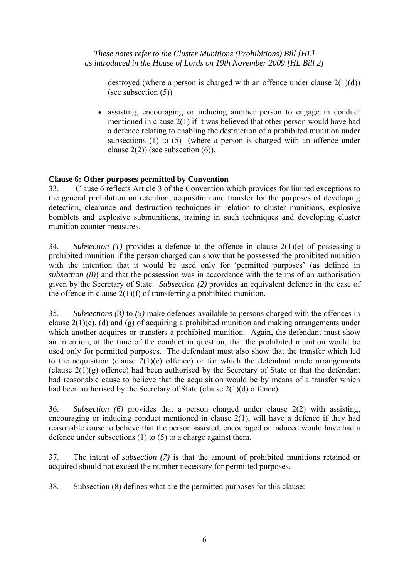destroyed (where a person is charged with an offence under clause  $2(1)(d)$ ) (see subsection (5))

• assisting, encouraging or inducing another person to engage in conduct mentioned in clause 2(1) if it was believed that other person would have had a defence relating to enabling the destruction of a prohibited munition under subsections (1) to (5) (where a person is charged with an offence under clause  $2(2)$ ) (see subsection  $(6)$ ).

# **Clause 6: Other purposes permitted by Convention**

33. Clause 6 reflects Article 3 of the Convention which provides for limited exceptions to the general prohibition on retention, acquisition and transfer for the purposes of developing detection, clearance and destruction techniques in relation to cluster munitions, explosive bomblets and explosive submunitions, training in such techniques and developing cluster munition counter-measures.

34. *Subsection (1)* provides a defence to the offence in clause 2(1)(e) of possessing a prohibited munition if the person charged can show that he possessed the prohibited munition with the intention that it would be used only for 'permitted purposes' (as defined in *subsection (8)*) and that the possession was in accordance with the terms of an authorisation given by the Secretary of State. *Subsection (2)* provides an equivalent defence in the case of the offence in clause 2(1)(f) of transferring a prohibited munition.

35. *Subsections (3)* to *(5)* make defences available to persons charged with the offences in clause  $2(1)(c)$ , (d) and (g) of acquiring a prohibited munition and making arrangements under which another acquires or transfers a prohibited munition. Again, the defendant must show an intention, at the time of the conduct in question, that the prohibited munition would be used only for permitted purposes. The defendant must also show that the transfer which led to the acquisition (clause  $2(1)(c)$  offence) or for which the defendant made arrangements (clause  $2(1)(g)$  offence) had been authorised by the Secretary of State or that the defendant had reasonable cause to believe that the acquisition would be by means of a transfer which had been authorised by the Secretary of State (clause 2(1)(d) offence).

36. *Subsection (6)* provides that a person charged under clause 2(2) with assisting, encouraging or inducing conduct mentioned in clause 2(1), will have a defence if they had reasonable cause to believe that the person assisted, encouraged or induced would have had a defence under subsections (1) to (5) to a charge against them.

37. The intent of *subsection (7)* is that the amount of prohibited munitions retained or acquired should not exceed the number necessary for permitted purposes.

38. Subsection (8) defines what are the permitted purposes for this clause: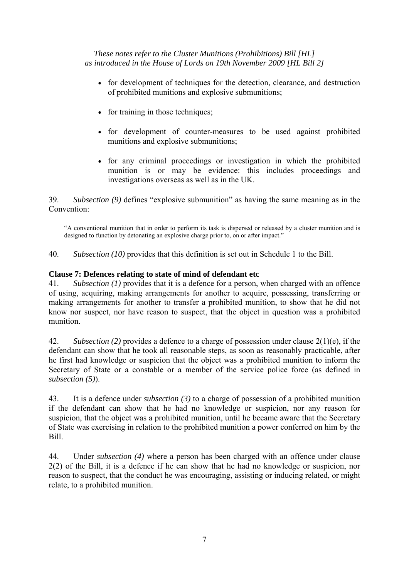- for development of techniques for the detection, clearance, and destruction of prohibited munitions and explosive submunitions;
- for training in those techniques;
- for development of counter-measures to be used against prohibited munitions and explosive submunitions;
- for any criminal proceedings or investigation in which the prohibited munition is or may be evidence: this includes proceedings and investigations overseas as well as in the UK.

39. *Subsection (9)* defines "explosive submunition" as having the same meaning as in the Convention:

"A conventional munition that in order to perform its task is dispersed or released by a cluster munition and is designed to function by detonating an explosive charge prior to, on or after impact."

40. *Subsection (10)* provides that this definition is set out in Schedule 1 to the Bill.

# **Clause 7: Defences relating to state of mind of defendant etc**

41. *Subsection (1)* provides that it is a defence for a person, when charged with an offence of using, acquiring, making arrangements for another to acquire, possessing, transferring or making arrangements for another to transfer a prohibited munition, to show that he did not know nor suspect, nor have reason to suspect, that the object in question was a prohibited munition.

42. *Subsection (2)* provides a defence to a charge of possession under clause 2(1)(e), if the defendant can show that he took all reasonable steps, as soon as reasonably practicable, after he first had knowledge or suspicion that the object was a prohibited munition to inform the Secretary of State or a constable or a member of the service police force (as defined in *subsection (5)*).

43. It is a defence under *subsection (3)* to a charge of possession of a prohibited munition if the defendant can show that he had no knowledge or suspicion, nor any reason for suspicion, that the object was a prohibited munition, until he became aware that the Secretary of State was exercising in relation to the prohibited munition a power conferred on him by the Bill.

44. Under *subsection (4)* where a person has been charged with an offence under clause 2(2) of the Bill, it is a defence if he can show that he had no knowledge or suspicion, nor reason to suspect, that the conduct he was encouraging, assisting or inducing related, or might relate, to a prohibited munition.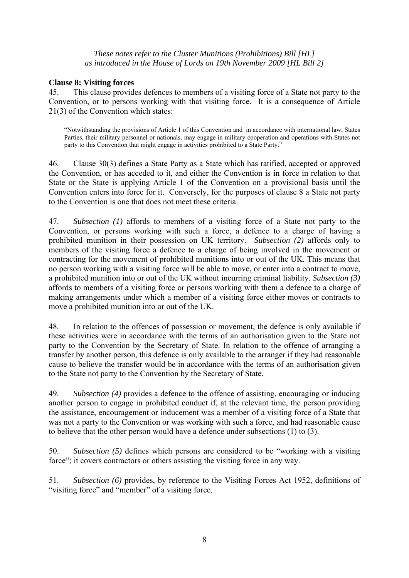# **Clause 8: Visiting forces**

45. This clause provides defences to members of a visiting force of a State not party to the Convention, or to persons working with that visiting force. It is a consequence of Article 21(3) of the Convention which states:

"Notwithstanding the provisions of Article 1 of this Convention and in accordance with international law, States Parties, their military personnel or nationals, may engage in military cooperation and operations with States not party to this Convention that might engage in activities prohibited to a State Party."

46. Clause 30(3) defines a State Party as a State which has ratified, accepted or approved the Convention, or has acceded to it, and either the Convention is in force in relation to that State or the State is applying Article 1 of the Convention on a provisional basis until the Convention enters into force for it. Conversely, for the purposes of clause 8 a State not party to the Convention is one that does not meet these criteria.

47. *Subsection (1)* affords to members of a visiting force of a State not party to the Convention, or persons working with such a force, a defence to a charge of having a prohibited munition in their possession on UK territory. *Subsection (2)* affords only to members of the visiting force a defence to a charge of being involved in the movement or contracting for the movement of prohibited munitions into or out of the UK. This means that no person working with a visiting force will be able to move, or enter into a contract to move, a prohibited munition into or out of the UK without incurring criminal liability. *Subsection (3)* affords to members of a visiting force or persons working with them a defence to a charge of making arrangements under which a member of a visiting force either moves or contracts to move a prohibited munition into or out of the UK.

48. In relation to the offences of possession or movement, the defence is only available if these activities were in accordance with the terms of an authorisation given to the State not party to the Convention by the Secretary of State. In relation to the offence of arranging a transfer by another person, this defence is only available to the arranger if they had reasonable cause to believe the transfer would be in accordance with the terms of an authorisation given to the State not party to the Convention by the Secretary of State.

49. *Subsection (4)* provides a defence to the offence of assisting, encouraging or inducing another person to engage in prohibited conduct if, at the relevant time, the person providing the assistance, encouragement or inducement was a member of a visiting force of a State that was not a party to the Convention or was working with such a force, and had reasonable cause to believe that the other person would have a defence under subsections (1) to (3).

50. *Subsection (5)* defines which persons are considered to be "working with a visiting force"; it covers contractors or others assisting the visiting force in any way.

51. *Subsection (6)* provides, by reference to the Visiting Forces Act 1952, definitions of "visiting force" and "member" of a visiting force.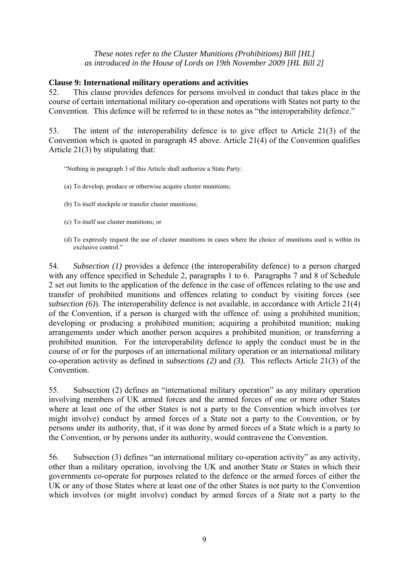#### **Clause 9: International military operations and activities**

52. This clause provides defences for persons involved in conduct that takes place in the course of certain international military co-operation and operations with States not party to the Convention. This defence will be referred to in these notes as "the interoperability defence."

53. The intent of the interoperability defence is to give effect to Article 21(3) of the Convention which is quoted in paragraph 45 above. Article 21(4) of the Convention qualifies Article 21(3) by stipulating that:

"Nothing in paragraph 3 of this Article shall authorize a State Party:

- (a) To develop, produce or otherwise acquire cluster munitions;
- (b) To itself stockpile or transfer cluster munitions;
- (c) To itself use cluster munitions; or
- (d) To expressly request the use of cluster munitions in cases where the choice of munitions used is within its exclusive control."

54. *Subsection (1)* provides a defence (the interoperability defence) to a person charged with any offence specified in Schedule 2, paragraphs 1 to 6. Paragraphs 7 and 8 of Schedule 2 set out limits to the application of the defence in the case of offences relating to the use and transfer of prohibited munitions and offences relating to conduct by visiting forces (see *subsection (6)*). The interoperability defence is not available, in accordance with Article 21(4) of the Convention, if a person is charged with the offence of: using a prohibited munition; developing or producing a prohibited munition; acquiring a prohibited munition; making arrangements under which another person acquires a prohibited munition; or transferring a prohibited munition. For the interoperability defence to apply the conduct must be in the course of or for the purposes of an international military operation or an international military co-operation activity as defined in *subsections (2)* and *(3).* This reflects Article 21(3) of the Convention.

55. Subsection (2) defines an "international military operation" as any military operation involving members of UK armed forces and the armed forces of one or more other States where at least one of the other States is not a party to the Convention which involves (or might involve) conduct by armed forces of a State not a party to the Convention, or by persons under its authority, that, if it was done by armed forces of a State which is a party to the Convention, or by persons under its authority, would contravene the Convention.

56. Subsection (3) defines "an international military co-operation activity" as any activity, other than a military operation, involving the UK and another State or States in which their governments co-operate for purposes related to the defence or the armed forces of either the UK or any of those States where at least one of the other States is not party to the Convention which involves (or might involve) conduct by armed forces of a State not a party to the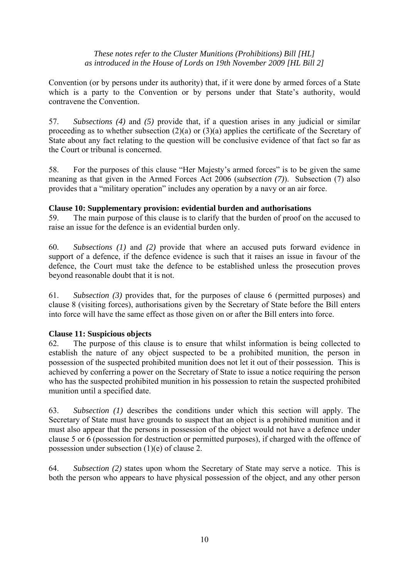Convention (or by persons under its authority) that, if it were done by armed forces of a State which is a party to the Convention or by persons under that State's authority, would contravene the Convention.

57. *Subsections (4)* and *(5)* provide that, if a question arises in any judicial or similar proceeding as to whether subsection (2)(a) or (3)(a) applies the certificate of the Secretary of State about any fact relating to the question will be conclusive evidence of that fact so far as the Court or tribunal is concerned.

58. For the purposes of this clause "Her Majesty's armed forces" is to be given the same meaning as that given in the Armed Forces Act 2006 (s*ubsection (7)*). Subsection (7) also provides that a "military operation" includes any operation by a navy or an air force.

#### **Clause 10: Supplementary provision: evidential burden and authorisations**

59. The main purpose of this clause is to clarify that the burden of proof on the accused to raise an issue for the defence is an evidential burden only.

60. *Subsections (1)* and *(2)* provide that where an accused puts forward evidence in support of a defence, if the defence evidence is such that it raises an issue in favour of the defence, the Court must take the defence to be established unless the prosecution proves beyond reasonable doubt that it is not.

61. *Subsection (3)* provides that, for the purposes of clause 6 (permitted purposes) and clause 8 (visiting forces), authorisations given by the Secretary of State before the Bill enters into force will have the same effect as those given on or after the Bill enters into force.

# **Clause 11: Suspicious objects**

62. The purpose of this clause is to ensure that whilst information is being collected to establish the nature of any object suspected to be a prohibited munition, the person in possession of the suspected prohibited munition does not let it out of their possession. This is achieved by conferring a power on the Secretary of State to issue a notice requiring the person who has the suspected prohibited munition in his possession to retain the suspected prohibited munition until a specified date.

63. *Subsection (1)* describes the conditions under which this section will apply. The Secretary of State must have grounds to suspect that an object is a prohibited munition and it must also appear that the persons in possession of the object would not have a defence under clause 5 or 6 (possession for destruction or permitted purposes), if charged with the offence of possession under subsection (1)(e) of clause 2.

64. *Subsection (2)* states upon whom the Secretary of State may serve a notice. This is both the person who appears to have physical possession of the object, and any other person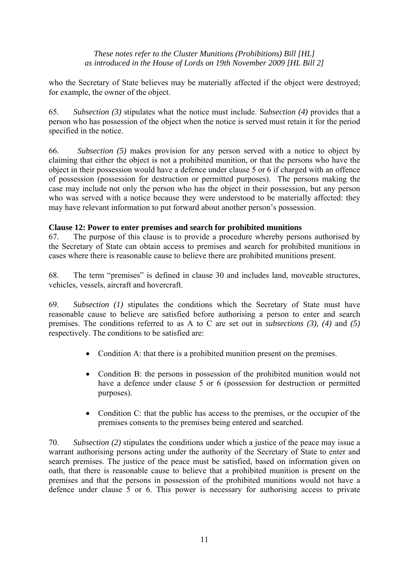who the Secretary of State believes may be materially affected if the object were destroyed; for example, the owner of the object.

65. *Subsection (3)* stipulates what the notice must include. S*ubsection (4)* provides that a person who has possession of the object when the notice is served must retain it for the period specified in the notice.

66. *Subsection (5)* makes provision for any person served with a notice to object by claiming that either the object is not a prohibited munition, or that the persons who have the object in their possession would have a defence under clause 5 or 6 if charged with an offence of possession (possession for destruction or permitted purposes). The persons making the case may include not only the person who has the object in their possession, but any person who was served with a notice because they were understood to be materially affected: they may have relevant information to put forward about another person's possession.

# **Clause 12: Power to enter premises and search for prohibited munitions**

67. The purpose of this clause is to provide a procedure whereby persons authorised by the Secretary of State can obtain access to premises and search for prohibited munitions in cases where there is reasonable cause to believe there are prohibited munitions present.

68. The term "premises" is defined in clause 30 and includes land, moveable structures, vehicles, vessels, aircraft and hovercraft.

69. *Subsection (1)* stipulates the conditions which the Secretary of State must have reasonable cause to believe are satisfied before authorising a person to enter and search premises. The conditions referred to as A to C are set out in *subsections (3), (4)* and *(5)* respectively. The conditions to be satisfied are:

- Condition A: that there is a prohibited munition present on the premises.
- Condition B: the persons in possession of the prohibited munition would not have a defence under clause 5 or 6 (possession for destruction or permitted purposes).
- Condition C: that the public has access to the premises, or the occupier of the premises consents to the premises being entered and searched.

70. *Subsection (2)* stipulates the conditions under which a justice of the peace may issue a warrant authorising persons acting under the authority of the Secretary of State to enter and search premises. The justice of the peace must be satisfied, based on information given on oath, that there is reasonable cause to believe that a prohibited munition is present on the premises and that the persons in possession of the prohibited munitions would not have a defence under clause 5 or 6. This power is necessary for authorising access to private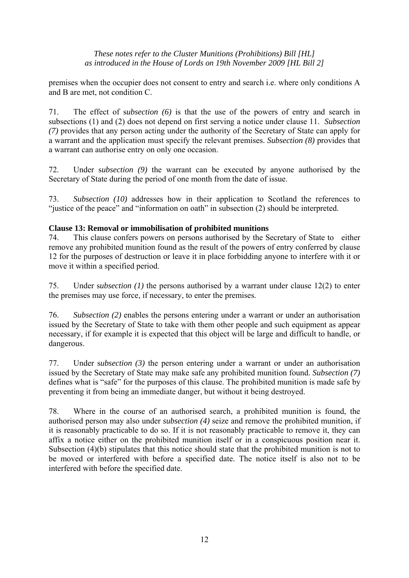premises when the occupier does not consent to entry and search i.e. where only conditions A and B are met, not condition C.

71. The effect of s*ubsection (6)* is that the use of the powers of entry and search in subsections (1) and (2) does not depend on first serving a notice under clause 11. *Subsection (7)* provides that any person acting under the authority of the Secretary of State can apply for a warrant and the application must specify the relevant premises. *Subsection (8)* provides that a warrant can authorise entry on only one occasion.

72. Under s*ubsection (9)* the warrant can be executed by anyone authorised by the Secretary of State during the period of one month from the date of issue.

73. *Subsection (10)* addresses how in their application to Scotland the references to "justice of the peace" and "information on oath" in subsection (2) should be interpreted.

# **Clause 13: Removal or immobilisation of prohibited munitions**

74. This clause confers powers on persons authorised by the Secretary of State to either remove any prohibited munition found as the result of the powers of entry conferred by clause 12 for the purposes of destruction or leave it in place forbidding anyone to interfere with it or move it within a specified period.

75. Under s*ubsection (1)* the persons authorised by a warrant under clause 12(2) to enter the premises may use force, if necessary, to enter the premises.

76. *Subsection (2)* enables the persons entering under a warrant or under an authorisation issued by the Secretary of State to take with them other people and such equipment as appear necessary, if for example it is expected that this object will be large and difficult to handle, or dangerous.

77. Under s*ubsection (3)* the person entering under a warrant or under an authorisation issued by the Secretary of State may make safe any prohibited munition found. *Subsection (7)* defines what is "safe" for the purposes of this clause. The prohibited munition is made safe by preventing it from being an immediate danger, but without it being destroyed.

78. Where in the course of an authorised search, a prohibited munition is found, the authorised person may also under *subsection (4)* seize and remove the prohibited munition, if it is reasonably practicable to do so. If it is not reasonably practicable to remove it, they can affix a notice either on the prohibited munition itself or in a conspicuous position near it. Subsection (4)(b) stipulates that this notice should state that the prohibited munition is not to be moved or interfered with before a specified date. The notice itself is also not to be interfered with before the specified date.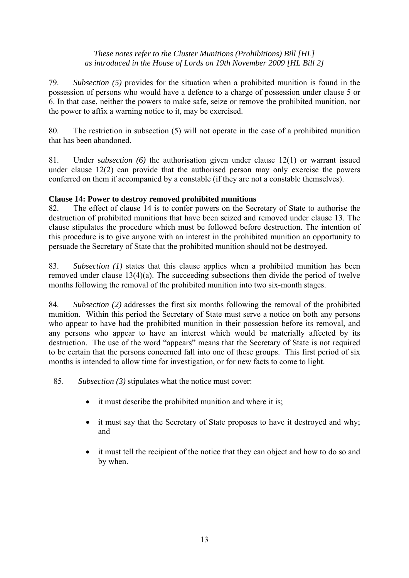79. *Subsection (5)* provides for the situation when a prohibited munition is found in the possession of persons who would have a defence to a charge of possession under clause 5 or 6. In that case, neither the powers to make safe, seize or remove the prohibited munition, nor the power to affix a warning notice to it, may be exercised.

80. The restriction in subsection (5) will not operate in the case of a prohibited munition that has been abandoned.

81. Under s*ubsection (6)* the authorisation given under clause 12(1) or warrant issued under clause 12(2) can provide that the authorised person may only exercise the powers conferred on them if accompanied by a constable (if they are not a constable themselves).

# **Clause 14: Power to destroy removed prohibited munitions**

82. The effect of clause 14 is to confer powers on the Secretary of State to authorise the destruction of prohibited munitions that have been seized and removed under clause 13. The clause stipulates the procedure which must be followed before destruction. The intention of this procedure is to give anyone with an interest in the prohibited munition an opportunity to persuade the Secretary of State that the prohibited munition should not be destroyed.

83. *Subsection (1)* states that this clause applies when a prohibited munition has been removed under clause 13(4)(a). The succeeding subsections then divide the period of twelve months following the removal of the prohibited munition into two six-month stages.

84. *Subsection (2)* addresses the first six months following the removal of the prohibited munition. Within this period the Secretary of State must serve a notice on both any persons who appear to have had the prohibited munition in their possession before its removal, and any persons who appear to have an interest which would be materially affected by its destruction. The use of the word "appears" means that the Secretary of State is not required to be certain that the persons concerned fall into one of these groups. This first period of six months is intended to allow time for investigation, or for new facts to come to light.

85. *Subsection (3)* stipulates what the notice must cover:

- it must describe the prohibited munition and where it is;
- it must say that the Secretary of State proposes to have it destroyed and why; and
- it must tell the recipient of the notice that they can object and how to do so and by when.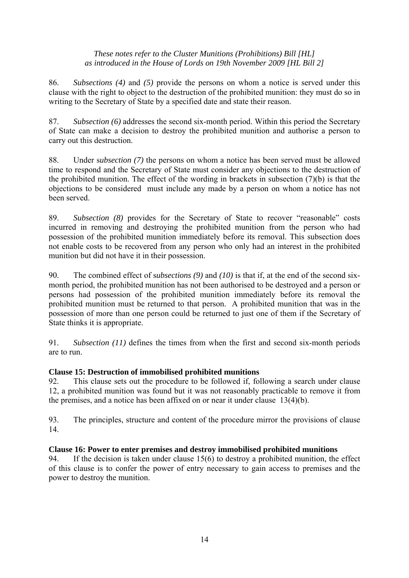86. *Subsections (4)* and *(5)* provide the persons on whom a notice is served under this clause with the right to object to the destruction of the prohibited munition: they must do so in writing to the Secretary of State by a specified date and state their reason.

87. *Subsection (6)* addresses the second six-month period. Within this period the Secretary of State can make a decision to destroy the prohibited munition and authorise a person to carry out this destruction.

88. Under s*ubsection (7)* the persons on whom a notice has been served must be allowed time to respond and the Secretary of State must consider any objections to the destruction of the prohibited munition. The effect of the wording in brackets in subsection (7)(b) is that the objections to be considered must include any made by a person on whom a notice has not been served.

89. *Subsection (8)* provides for the Secretary of State to recover "reasonable" costs incurred in removing and destroying the prohibited munition from the person who had possession of the prohibited munition immediately before its removal. This subsection does not enable costs to be recovered from any person who only had an interest in the prohibited munition but did not have it in their possession.

90. The combined effect of s*ubsections (9)* and *(10)* is that if, at the end of the second sixmonth period, the prohibited munition has not been authorised to be destroyed and a person or persons had possession of the prohibited munition immediately before its removal the prohibited munition must be returned to that person. A prohibited munition that was in the possession of more than one person could be returned to just one of them if the Secretary of State thinks it is appropriate.

91. *Subsection (11)* defines the times from when the first and second six-month periods are to run.

# **Clause 15: Destruction of immobilised prohibited munitions**

92. This clause sets out the procedure to be followed if, following a search under clause 12, a prohibited munition was found but it was not reasonably practicable to remove it from the premises, and a notice has been affixed on or near it under clause 13(4)(b).

93. The principles, structure and content of the procedure mirror the provisions of clause 14.

# **Clause 16: Power to enter premises and destroy immobilised prohibited munitions**

94. If the decision is taken under clause 15(6) to destroy a prohibited munition, the effect of this clause is to confer the power of entry necessary to gain access to premises and the power to destroy the munition.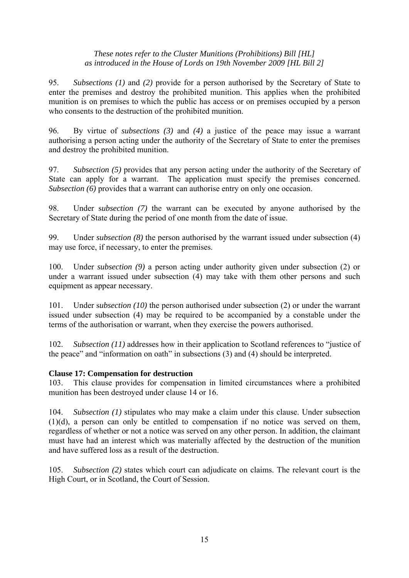95. *Subsections (1)* and *(2)* provide for a person authorised by the Secretary of State to enter the premises and destroy the prohibited munition. This applies when the prohibited munition is on premises to which the public has access or on premises occupied by a person who consents to the destruction of the prohibited munition.

96. By virtue of *subsections (3)* and *(4)* a justice of the peace may issue a warrant authorising a person acting under the authority of the Secretary of State to enter the premises and destroy the prohibited munition.

97. *Subsection (5)* provides that any person acting under the authority of the Secretary of State can apply for a warrant. The application must specify the premises concerned. *Subsection (6)* provides that a warrant can authorise entry on only one occasion.

98. Under s*ubsection (7)* the warrant can be executed by anyone authorised by the Secretary of State during the period of one month from the date of issue.

99. Under *subsection (8)* the person authorised by the warrant issued under subsection (4) may use force, if necessary, to enter the premises.

100. Under *subsection (9)* a person acting under authority given under subsection (2) or under a warrant issued under subsection (4) may take with them other persons and such equipment as appear necessary.

101. Under s*ubsection (10)* the person authorised under subsection (2) or under the warrant issued under subsection (4) may be required to be accompanied by a constable under the terms of the authorisation or warrant, when they exercise the powers authorised.

102. *Subsection (11)* addresses how in their application to Scotland references to "justice of the peace" and "information on oath" in subsections (3) and (4) should be interpreted.

# **Clause 17: Compensation for destruction**

103. This clause provides for compensation in limited circumstances where a prohibited munition has been destroyed under clause 14 or 16.

104. *Subsection (1)* stipulates who may make a claim under this clause. Under subsection (1)(d), a person can only be entitled to compensation if no notice was served on them, regardless of whether or not a notice was served on any other person. In addition, the claimant must have had an interest which was materially affected by the destruction of the munition and have suffered loss as a result of the destruction.

105. *Subsection (2)* states which court can adjudicate on claims. The relevant court is the High Court, or in Scotland, the Court of Session.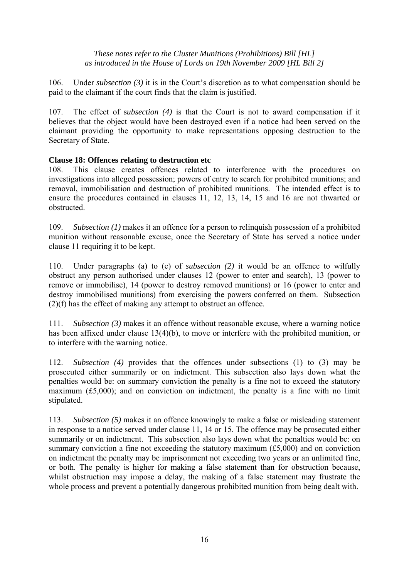106. Under *subsection (3)* it is in the Court's discretion as to what compensation should be paid to the claimant if the court finds that the claim is justified.

107. The effect of s*ubsection (4)* is that the Court is not to award compensation if it believes that the object would have been destroyed even if a notice had been served on the claimant providing the opportunity to make representations opposing destruction to the Secretary of State.

# **Clause 18: Offences relating to destruction etc**

108. This clause creates offences related to interference with the procedures on investigations into alleged possession; powers of entry to search for prohibited munitions; and removal, immobilisation and destruction of prohibited munitions. The intended effect is to ensure the procedures contained in clauses 11, 12, 13, 14, 15 and 16 are not thwarted or obstructed.

109. *Subsection (1)* makes it an offence for a person to relinquish possession of a prohibited munition without reasonable excuse, once the Secretary of State has served a notice under clause 11 requiring it to be kept.

110. Under paragraphs (a) to (e) of *subsection (2)* it would be an offence to wilfully obstruct any person authorised under clauses 12 (power to enter and search), 13 (power to remove or immobilise), 14 (power to destroy removed munitions) or 16 (power to enter and destroy immobilised munitions) from exercising the powers conferred on them. Subsection (2)(f) has the effect of making any attempt to obstruct an offence.

111. *Subsection (3)* makes it an offence without reasonable excuse, where a warning notice has been affixed under clause 13(4)(b), to move or interfere with the prohibited munition, or to interfere with the warning notice.

112. *Subsection (4)* provides that the offences under subsections (1) to (3) may be prosecuted either summarily or on indictment. This subsection also lays down what the penalties would be: on summary conviction the penalty is a fine not to exceed the statutory maximum (£5,000); and on conviction on indictment, the penalty is a fine with no limit stipulated.

113. *Subsection (5)* makes it an offence knowingly to make a false or misleading statement in response to a notice served under clause 11, 14 or 15. The offence may be prosecuted either summarily or on indictment. This subsection also lays down what the penalties would be: on summary conviction a fine not exceeding the statutory maximum (£5,000) and on conviction on indictment the penalty may be imprisonment not exceeding two years or an unlimited fine, or both. The penalty is higher for making a false statement than for obstruction because, whilst obstruction may impose a delay, the making of a false statement may frustrate the whole process and prevent a potentially dangerous prohibited munition from being dealt with.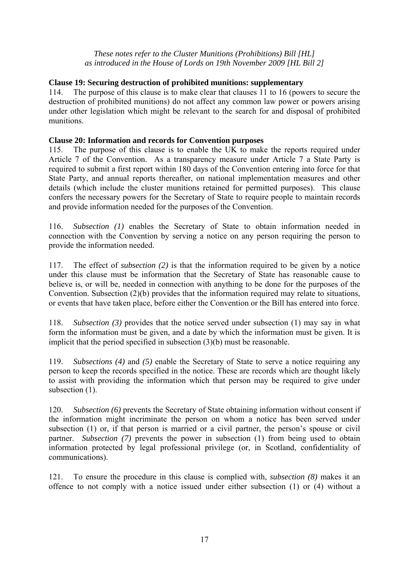## **Clause 19: Securing destruction of prohibited munitions: supplementary**

114. The purpose of this clause is to make clear that clauses 11 to 16 (powers to secure the destruction of prohibited munitions) do not affect any common law power or powers arising under other legislation which might be relevant to the search for and disposal of prohibited munitions.

#### **Clause 20: Information and records for Convention purposes**

115. The purpose of this clause is to enable the UK to make the reports required under Article 7 of the Convention. As a transparency measure under Article 7 a State Party is required to submit a first report within 180 days of the Convention entering into force for that State Party, and annual reports thereafter, on national implementation measures and other details (which include the cluster munitions retained for permitted purposes). This clause confers the necessary powers for the Secretary of State to require people to maintain records and provide information needed for the purposes of the Convention.

116. *Subsection (1)* enables the Secretary of State to obtain information needed in connection with the Convention by serving a notice on any person requiring the person to provide the information needed.

117. The effect of *subsection (2)* is that the information required to be given by a notice under this clause must be information that the Secretary of State has reasonable cause to believe is, or will be, needed in connection with anything to be done for the purposes of the Convention. Subsection (2)(b) provides that the information required may relate to situations, or events that have taken place, before either the Convention or the Bill has entered into force.

118. *Subsection (3)* provides that the notice served under subsection (1) may say in what form the information must be given, and a date by which the information must be given. It is implicit that the period specified in subsection (3)(b) must be reasonable.

119. *Subsections (4)* and *(5)* enable the Secretary of State to serve a notice requiring any person to keep the records specified in the notice. These are records which are thought likely to assist with providing the information which that person may be required to give under subsection  $(1)$ .

120. *Subsection (6)* prevents the Secretary of State obtaining information without consent if the information might incriminate the person on whom a notice has been served under subsection (1) or, if that person is married or a civil partner, the person's spouse or civil partner. *Subsection (7)* prevents the power in subsection (1) from being used to obtain information protected by legal professional privilege (or, in Scotland, confidentiality of communications).

121. To ensure the procedure in this clause is complied with, *subsection (8)* makes it an offence to not comply with a notice issued under either subsection (1) or (4) without a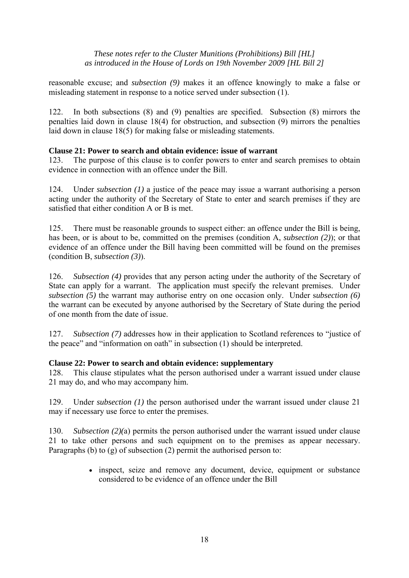reasonable excuse; and *subsection (9)* makes it an offence knowingly to make a false or misleading statement in response to a notice served under subsection (1).

122. In both subsections (8) and (9) penalties are specified. Subsection (8) mirrors the penalties laid down in clause 18(4) for obstruction, and subsection (9) mirrors the penalties laid down in clause 18(5) for making false or misleading statements.

#### **Clause 21: Power to search and obtain evidence: issue of warrant**

123. The purpose of this clause is to confer powers to enter and search premises to obtain evidence in connection with an offence under the Bill.

124. Under *subsection (1)* a justice of the peace may issue a warrant authorising a person acting under the authority of the Secretary of State to enter and search premises if they are satisfied that either condition A or B is met.

125. There must be reasonable grounds to suspect either: an offence under the Bill is being, has been, or is about to be, committed on the premises (condition A, *subsection (2)*); or that evidence of an offence under the Bill having been committed will be found on the premises (condition B, *subsection (3)*).

126. *Subsection (4)* provides that any person acting under the authority of the Secretary of State can apply for a warrant. The application must specify the relevant premises. Under *subsection (5)* the warrant may authorise entry on one occasion only. Under s*ubsection (6)* the warrant can be executed by anyone authorised by the Secretary of State during the period of one month from the date of issue.

127. *Subsection (7)* addresses how in their application to Scotland references to "justice of the peace" and "information on oath" in subsection (1) should be interpreted.

#### **Clause 22: Power to search and obtain evidence: supplementary**

128. This clause stipulates what the person authorised under a warrant issued under clause 21 may do, and who may accompany him.

129. Under *subsection (1)* the person authorised under the warrant issued under clause 21 may if necessary use force to enter the premises.

130. *Subsection (2)(*a) permits the person authorised under the warrant issued under clause 21 to take other persons and such equipment on to the premises as appear necessary. Paragraphs (b) to (g) of subsection (2) permit the authorised person to:

> • inspect, seize and remove any document, device, equipment or substance considered to be evidence of an offence under the Bill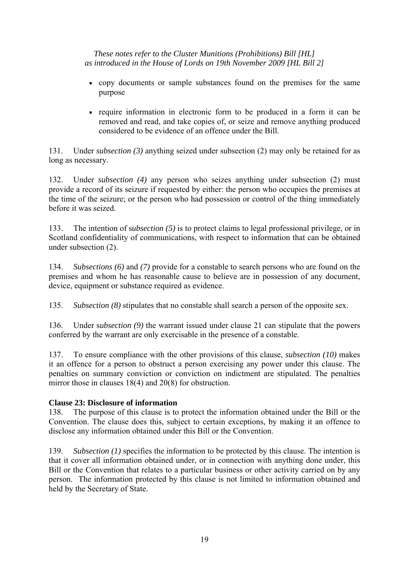- copy documents or sample substances found on the premises for the same purpose
- require information in electronic form to be produced in a form it can be removed and read, and take copies of, or seize and remove anything produced considered to be evidence of an offence under the Bill.

131. Under *subsection (3)* anything seized under subsection (2) may only be retained for as long as necessary.

132. Under *subsection (4)* any person who seizes anything under subsection (2) must provide a record of its seizure if requested by either: the person who occupies the premises at the time of the seizure; or the person who had possession or control of the thing immediately before it was seized.

133. The intention of s*ubsection (5)* is to protect claims to legal professional privilege, or in Scotland confidentiality of communications, with respect to information that can be obtained under subsection (2).

134. *Subsections (6)* and *(7)* provide for a constable to search persons who are found on the premises and whom he has reasonable cause to believe are in possession of any document, device, equipment or substance required as evidence.

135. *Subsection (8)* stipulates that no constable shall search a person of the opposite sex.

136. Under s*ubsection (9)* the warrant issued under clause 21 can stipulate that the powers conferred by the warrant are only exercisable in the presence of a constable.

137. To ensure compliance with the other provisions of this clause, *subsection (10)* makes it an offence for a person to obstruct a person exercising any power under this clause. The penalties on summary conviction or conviction on indictment are stipulated. The penalties mirror those in clauses 18(4) and 20(8) for obstruction.

# **Clause 23: Disclosure of information**

138. The purpose of this clause is to protect the information obtained under the Bill or the Convention. The clause does this, subject to certain exceptions, by making it an offence to disclose any information obtained under this Bill or the Convention.

139. *Subsection (1)* specifies the information to be protected by this clause. The intention is that it cover all information obtained under, or in connection with anything done under, this Bill or the Convention that relates to a particular business or other activity carried on by any person. The information protected by this clause is not limited to information obtained and held by the Secretary of State.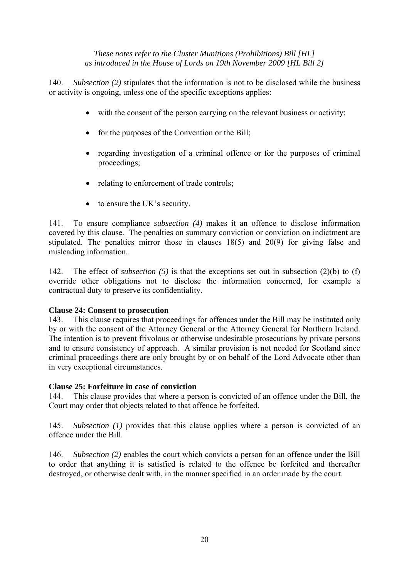140. *Subsection (2)* stipulates that the information is not to be disclosed while the business or activity is ongoing, unless one of the specific exceptions applies:

- with the consent of the person carrying on the relevant business or activity;
- for the purposes of the Convention or the Bill;
- regarding investigation of a criminal offence or for the purposes of criminal proceedings;
- relating to enforcement of trade controls;
- to ensure the UK's security.

141. To ensure compliance *subsection (4)* makes it an offence to disclose information covered by this clause. The penalties on summary conviction or conviction on indictment are stipulated. The penalties mirror those in clauses 18(5) and 20(9) for giving false and misleading information.

142. The effect of *subsection (5)* is that the exceptions set out in subsection (2)(b) to (f) override other obligations not to disclose the information concerned, for example a contractual duty to preserve its confidentiality.

# **Clause 24: Consent to prosecution**

143. This clause requires that proceedings for offences under the Bill may be instituted only by or with the consent of the Attorney General or the Attorney General for Northern Ireland. The intention is to prevent frivolous or otherwise undesirable prosecutions by private persons and to ensure consistency of approach. A similar provision is not needed for Scotland since criminal proceedings there are only brought by or on behalf of the Lord Advocate other than in very exceptional circumstances.

#### **Clause 25: Forfeiture in case of conviction**

144. This clause provides that where a person is convicted of an offence under the Bill, the Court may order that objects related to that offence be forfeited.

145. *Subsection (1)* provides that this clause applies where a person is convicted of an offence under the Bill.

146. *Subsection (2)* enables the court which convicts a person for an offence under the Bill to order that anything it is satisfied is related to the offence be forfeited and thereafter destroyed, or otherwise dealt with, in the manner specified in an order made by the court.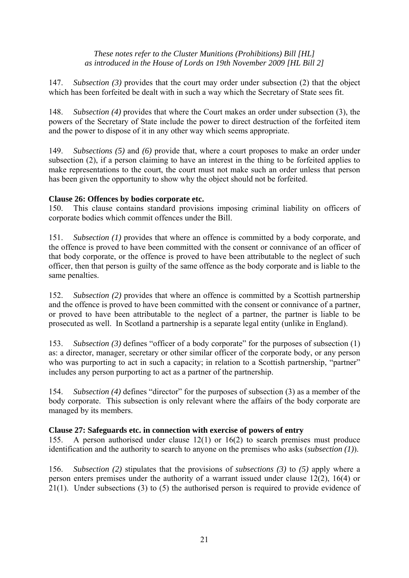147. *Subsection (3)* provides that the court may order under subsection (2) that the object which has been forfeited be dealt with in such a way which the Secretary of State sees fit.

148. *Subsection (4)* provides that where the Court makes an order under subsection (3), the powers of the Secretary of State include the power to direct destruction of the forfeited item and the power to dispose of it in any other way which seems appropriate.

149. *Subsections (5)* and *(6)* provide that, where a court proposes to make an order under subsection (2), if a person claiming to have an interest in the thing to be forfeited applies to make representations to the court, the court must not make such an order unless that person has been given the opportunity to show why the object should not be forfeited.

# **Clause 26: Offences by bodies corporate etc.**

150. This clause contains standard provisions imposing criminal liability on officers of corporate bodies which commit offences under the Bill.

151. *Subsection (1)* provides that where an offence is committed by a body corporate, and the offence is proved to have been committed with the consent or connivance of an officer of that body corporate, or the offence is proved to have been attributable to the neglect of such officer, then that person is guilty of the same offence as the body corporate and is liable to the same penalties.

152. *Subsection (2)* provides that where an offence is committed by a Scottish partnership and the offence is proved to have been committed with the consent or connivance of a partner, or proved to have been attributable to the neglect of a partner, the partner is liable to be prosecuted as well. In Scotland a partnership is a separate legal entity (unlike in England).

153. *Subsection (3)* defines "officer of a body corporate" for the purposes of subsection (1) as: a director, manager, secretary or other similar officer of the corporate body, or any person who was purporting to act in such a capacity; in relation to a Scottish partnership, "partner" includes any person purporting to act as a partner of the partnership.

154. *Subsection (4)* defines "director" for the purposes of subsection (3) as a member of the body corporate. This subsection is only relevant where the affairs of the body corporate are managed by its members.

# **Clause 27: Safeguards etc. in connection with exercise of powers of entry**

155. A person authorised under clause 12(1) or 16(2) to search premises must produce identification and the authority to search to anyone on the premises who asks (*subsection (1)*).

156. *Subsection (2)* stipulates that the provisions of *subsections (3)* to *(5)* apply where a person enters premises under the authority of a warrant issued under clause 12(2), 16(4) or 21(1). Under subsections (3) to (5) the authorised person is required to provide evidence of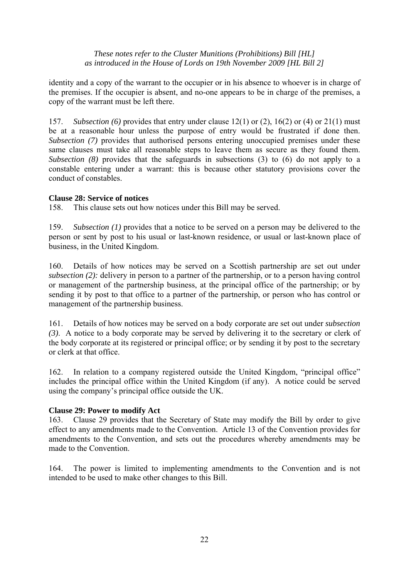identity and a copy of the warrant to the occupier or in his absence to whoever is in charge of the premises. If the occupier is absent, and no-one appears to be in charge of the premises, a copy of the warrant must be left there.

157. *Subsection (6)* provides that entry under clause 12(1) or (2), 16(2) or (4) or 21(1) must be at a reasonable hour unless the purpose of entry would be frustrated if done then. *Subsection (7)* provides that authorised persons entering unoccupied premises under these same clauses must take all reasonable steps to leave them as secure as they found them. *Subsection (8)* provides that the safeguards in subsections (3) to (6) do not apply to a constable entering under a warrant: this is because other statutory provisions cover the conduct of constables.

# **Clause 28: Service of notices**

158. This clause sets out how notices under this Bill may be served.

159. *Subsection (1)* provides that a notice to be served on a person may be delivered to the person or sent by post to his usual or last-known residence, or usual or last-known place of business, in the United Kingdom.

160. Details of how notices may be served on a Scottish partnership are set out under *subsection (2):* delivery in person to a partner of the partnership, or to a person having control or management of the partnership business, at the principal office of the partnership; or by sending it by post to that office to a partner of the partnership, or person who has control or management of the partnership business.

161. Details of how notices may be served on a body corporate are set out under *subsection (3)*. A notice to a body corporate may be served by delivering it to the secretary or clerk of the body corporate at its registered or principal office; or by sending it by post to the secretary or clerk at that office.

162. In relation to a company registered outside the United Kingdom, "principal office" includes the principal office within the United Kingdom (if any). A notice could be served using the company's principal office outside the UK.

# **Clause 29: Power to modify Act**

163. Clause 29 provides that the Secretary of State may modify the Bill by order to give effect to any amendments made to the Convention. Article 13 of the Convention provides for amendments to the Convention, and sets out the procedures whereby amendments may be made to the Convention.

164. The power is limited to implementing amendments to the Convention and is not intended to be used to make other changes to this Bill.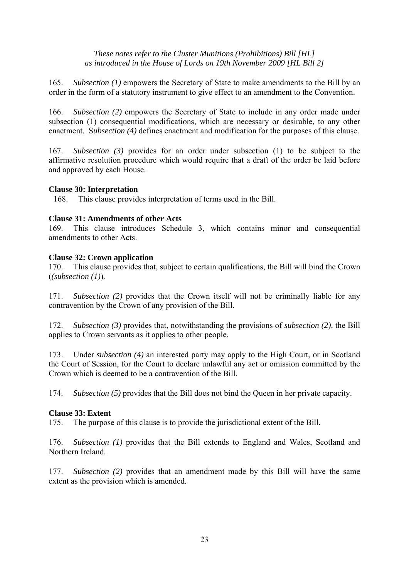165. *Subsection (1)* empowers the Secretary of State to make amendments to the Bill by an order in the form of a statutory instrument to give effect to an amendment to the Convention.

166. *Subsection (2)* empowers the Secretary of State to include in any order made under subsection (1) consequential modifications, which are necessary or desirable, to any other enactment. S*ubsection (4)* defines enactment and modification for the purposes of this clause.

167. *Subsection (3)* provides for an order under subsection (1) to be subject to the affirmative resolution procedure which would require that a draft of the order be laid before and approved by each House.

#### **Clause 30: Interpretation**

168. This clause provides interpretation of terms used in the Bill.

#### **Clause 31: Amendments of other Acts**

169. This clause introduces Schedule 3, which contains minor and consequential amendments to other Acts.

#### **Clause 32: Crown application**

170. This clause provides that, subject to certain qualifications, the Bill will bind the Crown (*(subsection (1)*)*.*

171. *Subsection (2)* provides that the Crown itself will not be criminally liable for any contravention by the Crown of any provision of the Bill.

172. *Subsection (3)* provides that, notwithstanding the provisions of *subsection (2),* the Bill applies to Crown servants as it applies to other people.

173. Under *subsection (4)* an interested party may apply to the High Court, or in Scotland the Court of Session, for the Court to declare unlawful any act or omission committed by the Crown which is deemed to be a contravention of the Bill.

174. *Subsection (5)* provides that the Bill does not bind the Queen in her private capacity.

# **Clause 33: Extent**

175. The purpose of this clause is to provide the jurisdictional extent of the Bill.

176. *Subsection (1)* provides that the Bill extends to England and Wales, Scotland and Northern Ireland.

177. *Subsection (2)* provides that an amendment made by this Bill will have the same extent as the provision which is amended.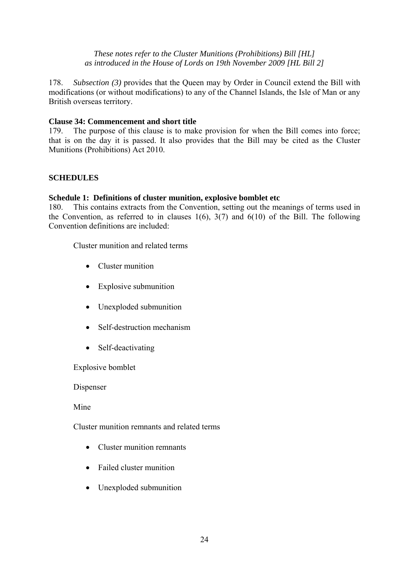178. *Subsection (3)* provides that the Queen may by Order in Council extend the Bill with modifications (or without modifications) to any of the Channel Islands, the Isle of Man or any British overseas territory.

#### **Clause 34: Commencement and short title**

179. The purpose of this clause is to make provision for when the Bill comes into force; that is on the day it is passed. It also provides that the Bill may be cited as the Cluster Munitions (Prohibitions) Act 2010.

# **SCHEDULES**

#### **Schedule 1: Definitions of cluster munition, explosive bomblet etc**

180. This contains extracts from the Convention, setting out the meanings of terms used in the Convention, as referred to in clauses  $1(6)$ ,  $3(7)$  and  $6(10)$  of the Bill. The following Convention definitions are included:

Cluster munition and related terms

- Cluster munition
- Explosive submunition
- Unexploded submunition
- Self-destruction mechanism
- Self-deactivating

Explosive bomblet

Dispenser

Mine

Cluster munition remnants and related terms

- Cluster munition remnants
- Failed cluster munition
- Unexploded submunition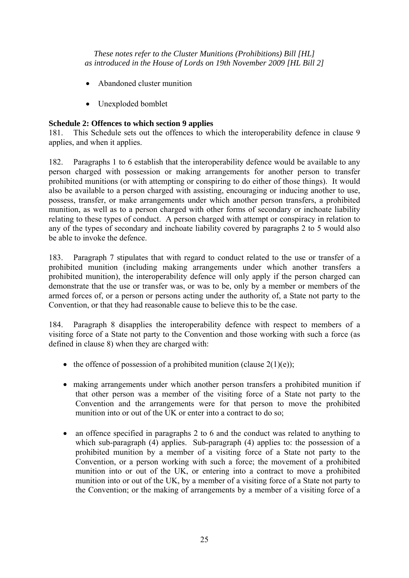- Abandoned cluster munition
- Unexploded bomblet

# **Schedule 2: Offences to which section 9 applies**

181. This Schedule sets out the offences to which the interoperability defence in clause 9 applies, and when it applies.

182. Paragraphs 1 to 6 establish that the interoperability defence would be available to any person charged with possession or making arrangements for another person to transfer prohibited munitions (or with attempting or conspiring to do either of those things). It would also be available to a person charged with assisting, encouraging or inducing another to use, possess, transfer, or make arrangements under which another person transfers, a prohibited munition, as well as to a person charged with other forms of secondary or inchoate liability relating to these types of conduct. A person charged with attempt or conspiracy in relation to any of the types of secondary and inchoate liability covered by paragraphs 2 to 5 would also be able to invoke the defence.

183. Paragraph 7 stipulates that with regard to conduct related to the use or transfer of a prohibited munition (including making arrangements under which another transfers a prohibited munition), the interoperability defence will only apply if the person charged can demonstrate that the use or transfer was, or was to be, only by a member or members of the armed forces of, or a person or persons acting under the authority of, a State not party to the Convention, or that they had reasonable cause to believe this to be the case.

184. Paragraph 8 disapplies the interoperability defence with respect to members of a visiting force of a State not party to the Convention and those working with such a force (as defined in clause 8) when they are charged with:

- the offence of possession of a prohibited munition (clause  $2(1)(e)$ );
- making arrangements under which another person transfers a prohibited munition if that other person was a member of the visiting force of a State not party to the Convention and the arrangements were for that person to move the prohibited munition into or out of the UK or enter into a contract to do so;
- an offence specified in paragraphs 2 to 6 and the conduct was related to anything to which sub-paragraph (4) applies. Sub-paragraph (4) applies to: the possession of a prohibited munition by a member of a visiting force of a State not party to the Convention, or a person working with such a force; the movement of a prohibited munition into or out of the UK, or entering into a contract to move a prohibited munition into or out of the UK, by a member of a visiting force of a State not party to the Convention; or the making of arrangements by a member of a visiting force of a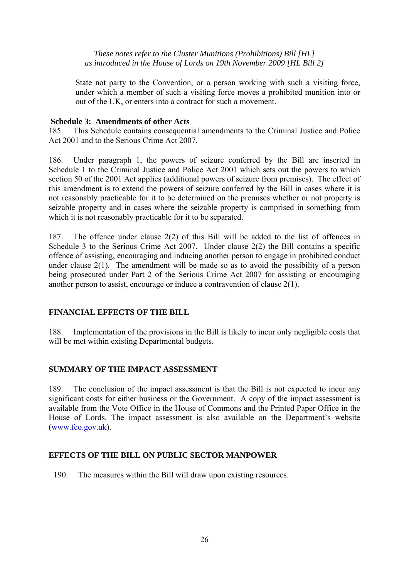State not party to the Convention, or a person working with such a visiting force, under which a member of such a visiting force moves a prohibited munition into or out of the UK, or enters into a contract for such a movement.

## **Schedule 3: Amendments of other Acts**

185. This Schedule contains consequential amendments to the Criminal Justice and Police Act 2001 and to the Serious Crime Act 2007.

186. Under paragraph 1, the powers of seizure conferred by the Bill are inserted in Schedule 1 to the Criminal Justice and Police Act 2001 which sets out the powers to which section 50 of the 2001 Act applies (additional powers of seizure from premises). The effect of this amendment is to extend the powers of seizure conferred by the Bill in cases where it is not reasonably practicable for it to be determined on the premises whether or not property is seizable property and in cases where the seizable property is comprised in something from which it is not reasonably practicable for it to be separated.

187. The offence under clause 2(2) of this Bill will be added to the list of offences in Schedule 3 to the Serious Crime Act 2007. Under clause 2(2) the Bill contains a specific offence of assisting, encouraging and inducing another person to engage in prohibited conduct under clause 2(1). The amendment will be made so as to avoid the possibility of a person being prosecuted under Part 2 of the Serious Crime Act 2007 for assisting or encouraging another person to assist, encourage or induce a contravention of clause 2(1).

# **FINANCIAL EFFECTS OF THE BILL**

188. Implementation of the provisions in the Bill is likely to incur only negligible costs that will be met within existing Departmental budgets.

# **SUMMARY OF THE IMPACT ASSESSMENT**

189. The conclusion of the impact assessment is that the Bill is not expected to incur any significant costs for either business or the Government. A copy of the impact assessment is available from the Vote Office in the House of Commons and the Printed Paper Office in the House of Lords. The impact assessment is also available on the Department's website (www.fco.gov.uk).

# **EFFECTS OF THE BILL ON PUBLIC SECTOR MANPOWER**

190. The measures within the Bill will draw upon existing resources.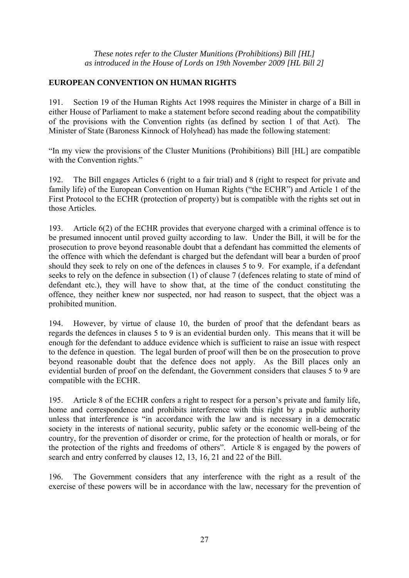# **EUROPEAN CONVENTION ON HUMAN RIGHTS**

191. Section 19 of the Human Rights Act 1998 requires the Minister in charge of a Bill in either House of Parliament to make a statement before second reading about the compatibility of the provisions with the Convention rights (as defined by section 1 of that Act). The Minister of State (Baroness Kinnock of Holyhead) has made the following statement:

"In my view the provisions of the Cluster Munitions (Prohibitions) Bill [HL] are compatible with the Convention rights."

192. The Bill engages Articles 6 (right to a fair trial) and 8 (right to respect for private and family life) of the European Convention on Human Rights ("the ECHR") and Article 1 of the First Protocol to the ECHR (protection of property) but is compatible with the rights set out in those Articles.

193. Article 6(2) of the ECHR provides that everyone charged with a criminal offence is to be presumed innocent until proved guilty according to law. Under the Bill, it will be for the prosecution to prove beyond reasonable doubt that a defendant has committed the elements of the offence with which the defendant is charged but the defendant will bear a burden of proof should they seek to rely on one of the defences in clauses 5 to 9. For example, if a defendant seeks to rely on the defence in subsection (1) of clause 7 (defences relating to state of mind of defendant etc.), they will have to show that, at the time of the conduct constituting the offence, they neither knew nor suspected, nor had reason to suspect, that the object was a prohibited munition.

194. However, by virtue of clause 10, the burden of proof that the defendant bears as regards the defences in clauses 5 to 9 is an evidential burden only. This means that it will be enough for the defendant to adduce evidence which is sufficient to raise an issue with respect to the defence in question. The legal burden of proof will then be on the prosecution to prove beyond reasonable doubt that the defence does not apply. As the Bill places only an evidential burden of proof on the defendant, the Government considers that clauses 5 to 9 are compatible with the ECHR.

195. Article 8 of the ECHR confers a right to respect for a person's private and family life, home and correspondence and prohibits interference with this right by a public authority unless that interference is "in accordance with the law and is necessary in a democratic society in the interests of national security, public safety or the economic well-being of the country, for the prevention of disorder or crime, for the protection of health or morals, or for the protection of the rights and freedoms of others". Article 8 is engaged by the powers of search and entry conferred by clauses 12, 13, 16, 21 and 22 of the Bill.

196. The Government considers that any interference with the right as a result of the exercise of these powers will be in accordance with the law, necessary for the prevention of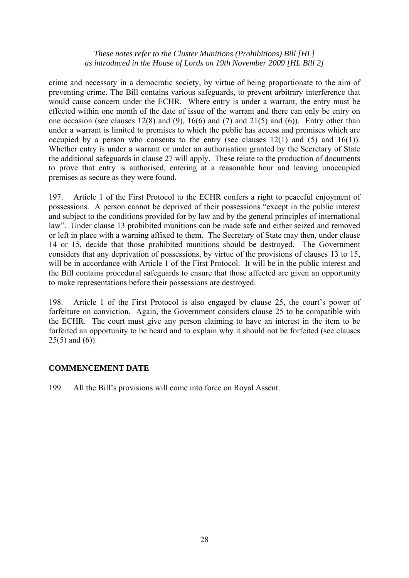crime and necessary in a democratic society, by virtue of being proportionate to the aim of preventing crime. The Bill contains various safeguards, to prevent arbitrary interference that would cause concern under the ECHR. Where entry is under a warrant, the entry must be effected within one month of the date of issue of the warrant and there can only be entry on one occasion (see clauses  $12(8)$  and  $(9)$ ,  $16(6)$  and  $(7)$  and  $21(5)$  and  $(6)$ ). Entry other than under a warrant is limited to premises to which the public has access and premises which are occupied by a person who consents to the entry (see clauses  $12(1)$  and  $(5)$  and  $16(1)$ ). Whether entry is under a warrant or under an authorisation granted by the Secretary of State the additional safeguards in clause 27 will apply. These relate to the production of documents to prove that entry is authorised, entering at a reasonable hour and leaving unoccupied premises as secure as they were found.

197. Article 1 of the First Protocol to the ECHR confers a right to peaceful enjoyment of possessions. A person cannot be deprived of their possessions "except in the public interest and subject to the conditions provided for by law and by the general principles of international law". Under clause 13 prohibited munitions can be made safe and either seized and removed or left in place with a warning affixed to them. The Secretary of State may then, under clause 14 or 15, decide that those prohibited munitions should be destroyed. The Government considers that any deprivation of possessions, by virtue of the provisions of clauses 13 to 15, will be in accordance with Article 1 of the First Protocol. It will be in the public interest and the Bill contains procedural safeguards to ensure that those affected are given an opportunity to make representations before their possessions are destroyed.

198. Article 1 of the First Protocol is also engaged by clause 25, the court's power of forfeiture on conviction. Again, the Government considers clause 25 to be compatible with the ECHR. The court must give any person claiming to have an interest in the item to be forfeited an opportunity to be heard and to explain why it should not be forfeited (see clauses  $25(5)$  and  $(6)$ ).

# **COMMENCEMENT DATE**

199. All the Bill's provisions will come into force on Royal Assent.